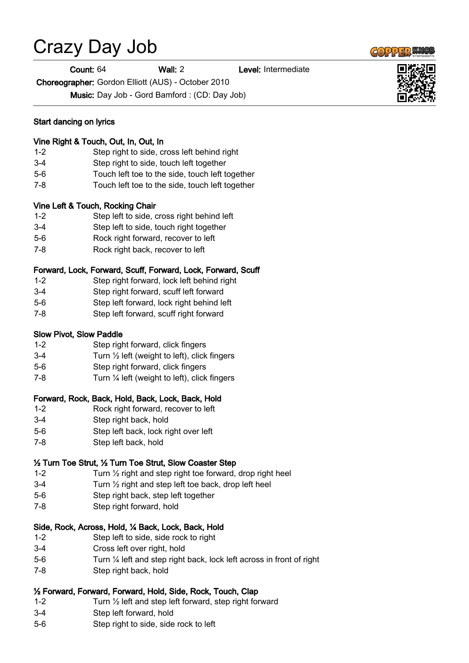# Crazy Day Job

Count: 64 Wall: 2 Level: Intermediate

Choreographer: Gordon Elliott (AUS) - October 2010

Music: Day Job - Gord Bamford : (CD: Day Job)

#### Start dancing on lyrics

# Vine Right & Touch, Out, In, Out, In

- 1-2 Step right to side, cross left behind right
- 3-4 Step right to side, touch left together
- 5-6 Touch left toe to the side, touch left together
- 7-8 Touch left toe to the side, touch left together

# Vine Left & Touch, Rocking Chair

- 1-2 Step left to side, cross right behind left
- 3-4 Step left to side, touch right together
- 5-6 Rock right forward, recover to left
- 7-8 Rock right back, recover to left

# Forward, Lock, Forward, Scuff, Forward, Lock, Forward, Scuff

- 1-2 Step right forward, lock left behind right
- 3-4 Step right forward, scuff left forward
- 5-6 Step left forward, lock right behind left
- 7-8 Step left forward, scuff right forward

#### Slow Pivot, Slow Paddle

- 1-2 Step right forward, click fingers
- 3-4 Turn ½ left (weight to left), click fingers
- 5-6 Step right forward, click fingers
- 7-8 Turn ¼ left (weight to left), click fingers

#### Forward, Rock, Back, Hold, Back, Lock, Back, Hold

- 1-2 Rock right forward, recover to left
- 3-4 Step right back, hold
- 5-6 Step left back, lock right over left
- 7-8 Step left back, hold

#### ½ Turn Toe Strut, ½ Turn Toe Strut, Slow Coaster Step

- 1-2 Turn ½ right and step right toe forward, drop right heel
- 3-4 Turn ½ right and step left toe back, drop left heel
- 5-6 Step right back, step left together
- 7-8 Step right forward, hold

#### Side, Rock, Across, Hold, ¼ Back, Lock, Back, Hold

- 1-2 Step left to side, side rock to right
- 3-4 Cross left over right, hold
- 5-6 Turn ¼ left and step right back, lock left across in front of right
- 7-8 Step right back, hold

# ½ Forward, Forward, Forward, Hold, Side, Rock, Touch, Clap

- 1-2 Turn ½ left and step left forward, step right forward
- 3-4 Step left forward, hold
- 5-6 Step right to side, side rock to left